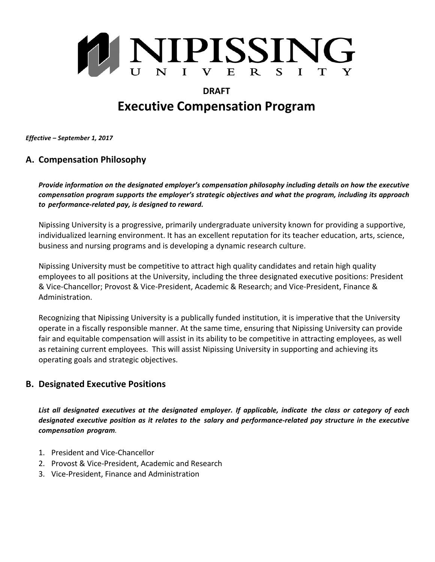

# **DRAFT Executive Compensation Program**

*Effective* – September 1, 2017

# **A. Compensation Philosophy**

*Provide information on the designated employer's compensation philosophy including details on how the executive compensation program supports the employer's strategic objectives and what the program, including its approach to performance-related pay, is designed to reward.*

Nipissing University is a progressive, primarily undergraduate university known for providing a supportive, individualized learning environment. It has an excellent reputation for its teacher education, arts, science, business and nursing programs and is developing a dynamic research culture.

Nipissing University must be competitive to attract high quality candidates and retain high quality employees to all positions at the University, including the three designated executive positions: President & Vice-Chancellor; Provost & Vice-President, Academic & Research; and Vice-President, Finance & Administration. 

Recognizing that Nipissing University is a publically funded institution, it is imperative that the University operate in a fiscally responsible manner. At the same time, ensuring that Nipissing University can provide fair and equitable compensation will assist in its ability to be competitive in attracting employees, as well as retaining current employees. This will assist Nipissing University in supporting and achieving its operating goals and strategic objectives.

## **B. Designated Executive Positions**

*List all designated executives at the designated employer. If applicable, indicate the class or category of each designated executive position as it relates to the salary and performance-related pay structure in the executive compensation program.*

- 1. President and Vice-Chancellor
- 2. Provost & Vice-President, Academic and Research
- 3. Vice-President, Finance and Administration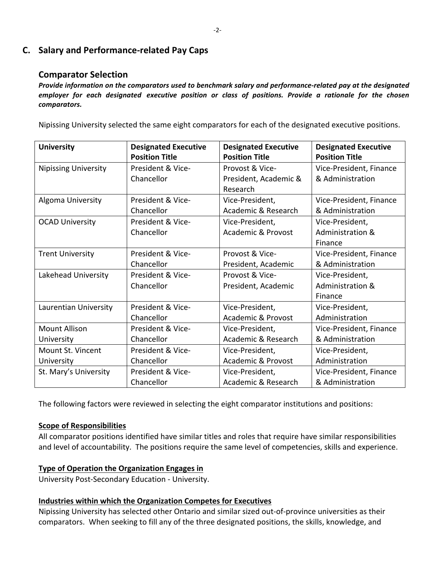# **C. Salary and Performance-related Pay Caps**

## **Comparator Selection**

*Provide information on the comparators used to benchmark salary and performance-related pay at the designated employer for each designated executive position or class of positions. Provide a rationale for the chosen comparators.*

Nipissing University selected the same eight comparators for each of the designated executive positions.

| <b>University</b>           | <b>Designated Executive</b> | <b>Designated Executive</b>   | <b>Designated Executive</b> |
|-----------------------------|-----------------------------|-------------------------------|-----------------------------|
|                             | <b>Position Title</b>       | <b>Position Title</b>         | <b>Position Title</b>       |
| <b>Nipissing University</b> | President & Vice-           | Provost & Vice-               | Vice-President, Finance     |
|                             | Chancellor                  | President, Academic &         | & Administration            |
|                             |                             | Research                      |                             |
| Algoma University           | President & Vice-           | Vice-President,               | Vice-President, Finance     |
|                             | Chancellor                  | Academic & Research           | & Administration            |
| <b>OCAD University</b>      | President & Vice-           | Vice-President,               | Vice-President,             |
|                             | Chancellor                  | Academic & Provost            | Administration &            |
|                             |                             |                               | Finance                     |
| <b>Trent University</b>     | President & Vice-           | Provost & Vice-               | Vice-President, Finance     |
|                             | Chancellor                  | President, Academic           | & Administration            |
| Lakehead University         | President & Vice-           | Provost & Vice-               | Vice-President,             |
|                             | Chancellor                  | President, Academic           | Administration &            |
|                             |                             |                               | Finance                     |
| Laurentian University       | President & Vice-           | Vice-President,               | Vice-President,             |
|                             | Chancellor                  | <b>Academic &amp; Provost</b> | Administration              |
| <b>Mount Allison</b>        | President & Vice-           | Vice-President,               | Vice-President, Finance     |
| University                  | Chancellor                  | Academic & Research           | & Administration            |
| Mount St. Vincent           | President & Vice-           | Vice-President,               | Vice-President,             |
| University                  | Chancellor                  | Academic & Provost            | Administration              |
| St. Mary's University       | President & Vice-           | Vice-President,               | Vice-President, Finance     |
|                             | Chancellor                  | Academic & Research           | & Administration            |

The following factors were reviewed in selecting the eight comparator institutions and positions:

## **Scope of Responsibilities**

All comparator positions identified have similar titles and roles that require have similar responsibilities and level of accountability. The positions require the same level of competencies, skills and experience.

## **Type of Operation the Organization Engages in**

University Post-Secondary Education - University.

### **Industries within which the Organization Competes for Executives**

Nipissing University has selected other Ontario and similar sized out-of-province universities as their comparators. When seeking to fill any of the three designated positions, the skills, knowledge, and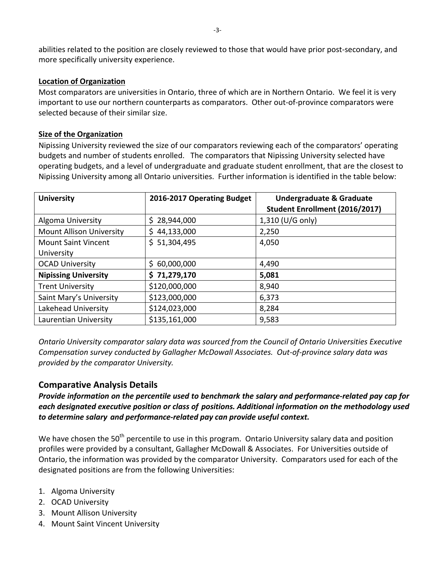abilities related to the position are closely reviewed to those that would have prior post-secondary, and more specifically university experience.

### **Location of Organization**

Most comparators are universities in Ontario, three of which are in Northern Ontario. We feel it is very important to use our northern counterparts as comparators. Other out-of-province comparators were selected because of their similar size.

### **Size of the Organization**

Nipissing University reviewed the size of our comparators reviewing each of the comparators' operating budgets and number of students enrolled. The comparators that Nipissing University selected have operating budgets, and a level of undergraduate and graduate student enrollment, that are the closest to Nipissing University among all Ontario universities. Further information is identified in the table below:

| <b>University</b>               | 2016-2017 Operating Budget | <b>Undergraduate &amp; Graduate</b> |
|---------------------------------|----------------------------|-------------------------------------|
|                                 |                            | Student Enrollment (2016/2017)      |
| Algoma University               | \$28,944,000               | 1,310 (U/G only)                    |
| <b>Mount Allison University</b> | \$44,133,000               | 2,250                               |
| <b>Mount Saint Vincent</b>      | \$ 51,304,495              | 4,050                               |
| University                      |                            |                                     |
| <b>OCAD University</b>          | \$60,000,000               | 4,490                               |
| <b>Nipissing University</b>     | \$71,279,170               | 5,081                               |
| <b>Trent University</b>         | \$120,000,000              | 8,940                               |
| Saint Mary's University         | \$123,000,000              | 6,373                               |
| Lakehead University             | \$124,023,000              | 8,284                               |
| Laurentian University           | \$135,161,000              | 9,583                               |

*Ontario University comparator salary data was sourced from the Council of Ontario Universities Executive Compensation survey conducted by Gallagher McDowall Associates. Out-of-province salary data was*  provided by the comparator University.

## **Comparative Analysis Details**

*Provide information on the percentile used to benchmark the salary and performance-related pay cap for each designated executive position or class of positions. Additional information on the methodology used to determine salary and performance-related pay can provide useful context.*

We have chosen the 50<sup>th</sup> percentile to use in this program. Ontario University salary data and position profiles were provided by a consultant, Gallagher McDowall & Associates. For Universities outside of Ontario, the information was provided by the comparator University. Comparators used for each of the designated positions are from the following Universities:

- 1. Algoma University
- 2. OCAD University
- 3. Mount Allison University
- 4. Mount Saint Vincent University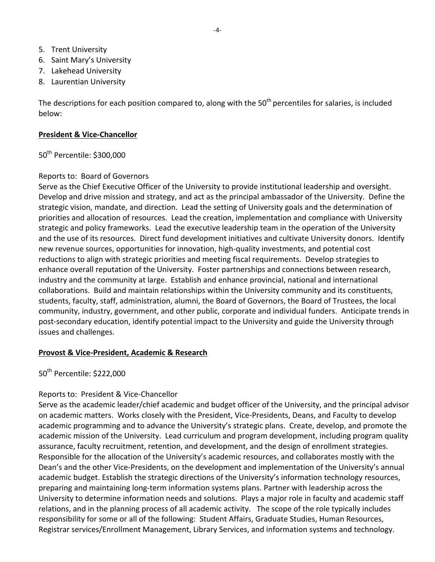- 5. Trent University
- 6. Saint Mary's University
- 7. Lakehead University
- 8. Laurentian University

The descriptions for each position compared to, along with the  $50<sup>th</sup>$  percentiles for salaries, is included below: 

### **President & Vice-Chancellor**

50<sup>th</sup> Percentile: \$300,000

### Reports to: Board of Governors

Serve as the Chief Executive Officer of the University to provide institutional leadership and oversight. Develop and drive mission and strategy, and act as the principal ambassador of the University. Define the strategic vision, mandate, and direction. Lead the setting of University goals and the determination of priorities and allocation of resources. Lead the creation, implementation and compliance with University strategic and policy frameworks. Lead the executive leadership team in the operation of the University and the use of its resources. Direct fund development initiatives and cultivate University donors. Identify new revenue sources, opportunities for innovation, high-quality investments, and potential cost reductions to align with strategic priorities and meeting fiscal requirements. Develop strategies to enhance overall reputation of the University. Foster partnerships and connections between research, industry and the community at large. Establish and enhance provincial, national and international collaborations. Build and maintain relationships within the University community and its constituents, students, faculty, staff, administration, alumni, the Board of Governors, the Board of Trustees, the local community, industry, government, and other public, corporate and individual funders. Anticipate trends in post-secondary education, identify potential impact to the University and guide the University through issues and challenges.

## **Provost & Vice-President, Academic & Research**

50<sup>th</sup> Percentile: \$222,000

## Reports to: President & Vice-Chancellor

Serve as the academic leader/chief academic and budget officer of the University, and the principal advisor on academic matters. Works closely with the President, Vice-Presidents, Deans, and Faculty to develop academic programming and to advance the University's strategic plans. Create, develop, and promote the academic mission of the University. Lead curriculum and program development, including program quality assurance, faculty recruitment, retention, and development, and the design of enrollment strategies. Responsible for the allocation of the University's academic resources, and collaborates mostly with the Dean's and the other Vice-Presidents, on the development and implementation of the University's annual academic budget. Establish the strategic directions of the University's information technology resources, preparing and maintaining long-term information systems plans. Partner with leadership across the University to determine information needs and solutions. Plays a major role in faculty and academic staff relations, and in the planning process of all academic activity. The scope of the role typically includes responsibility for some or all of the following: Student Affairs, Graduate Studies, Human Resources, Registrar services/Enrollment Management, Library Services, and information systems and technology.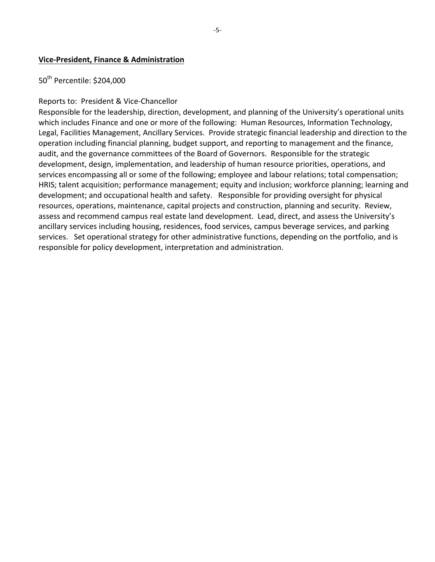#### **Vice-President, Finance & Administration**

## 50<sup>th</sup> Percentile: \$204,000

#### Reports to: President & Vice-Chancellor

Responsible for the leadership, direction, development, and planning of the University's operational units which includes Finance and one or more of the following: Human Resources, Information Technology, Legal, Facilities Management, Ancillary Services. Provide strategic financial leadership and direction to the operation including financial planning, budget support, and reporting to management and the finance, audit, and the governance committees of the Board of Governors. Responsible for the strategic development, design, implementation, and leadership of human resource priorities, operations, and services encompassing all or some of the following; employee and labour relations; total compensation; HRIS; talent acquisition; performance management; equity and inclusion; workforce planning; learning and development; and occupational health and safety. Responsible for providing oversight for physical resources, operations, maintenance, capital projects and construction, planning and security. Review, assess and recommend campus real estate land development. Lead, direct, and assess the University's ancillary services including housing, residences, food services, campus beverage services, and parking services. Set operational strategy for other administrative functions, depending on the portfolio, and is responsible for policy development, interpretation and administration.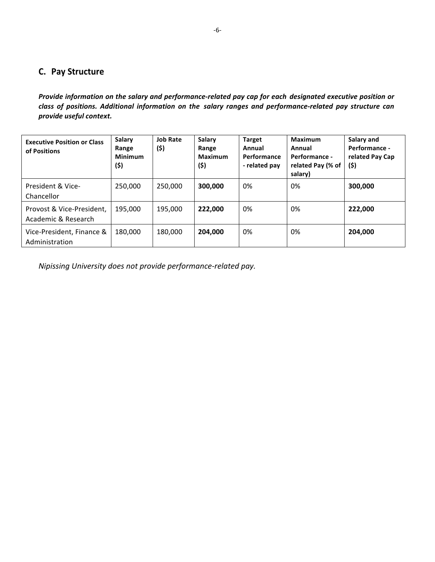# **C. Pay Structure**

*Provide information on the salary and performance-related pay cap for each designated executive position or class of positions. Additional information on the salary ranges and performance-related pay structure can provide useful context.*

| <b>Executive Position or Class</b><br>of Positions | <b>Salary</b><br>Range<br><b>Minimum</b><br>(\$) | <b>Job Rate</b><br>(\$) | <b>Salary</b><br>Range<br><b>Maximum</b><br>(\$) | <b>Target</b><br>Annual<br>Performance<br>- related pay | <b>Maximum</b><br>Annual<br>Performance -<br>related Pay (% of<br>salary) | Salary and<br>Performance -<br>related Pay Cap<br>(5) |
|----------------------------------------------------|--------------------------------------------------|-------------------------|--------------------------------------------------|---------------------------------------------------------|---------------------------------------------------------------------------|-------------------------------------------------------|
| President & Vice-<br>Chancellor                    | 250,000                                          | 250,000                 | 300,000                                          | 0%                                                      | 0%                                                                        | 300,000                                               |
| Provost & Vice-President,<br>Academic & Research   | 195,000                                          | 195,000                 | 222,000                                          | 0%                                                      | 0%                                                                        | 222,000                                               |
| Vice-President, Finance &<br>Administration        | 180,000                                          | 180,000                 | 204.000                                          | 0%                                                      | 0%                                                                        | 204,000                                               |

*Nipissing University does not provide performance-related pay.*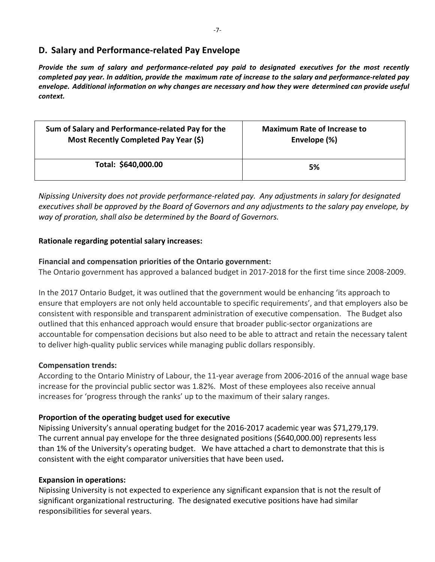# **D. Salary and Performance-related Pay Envelope**

*Provide the sum of salary and performance-related pay paid to designated executives for the most recently completed pay year. In addition, provide the maximum rate of increase to the salary and performance-related pay envelope. Additional information on why changes are necessary and how they were determined can provide useful context.*

| Sum of Salary and Performance-related Pay for the | <b>Maximum Rate of Increase to</b> |
|---------------------------------------------------|------------------------------------|
| Most Recently Completed Pay Year (\$)             | Envelope (%)                       |
| Total: \$640,000.00                               | 5%                                 |

*Nipissing University does not provide performance-related pay. Any adjustments in salary for designated* executives shall be approved by the Board of Governors and any adjustments to the salary pay envelope, by way of proration, shall also be determined by the Board of Governors.

### **Rationale regarding potential salary increases:**

### **Financial and compensation priorities of the Ontario government:**

The Ontario government has approved a balanced budget in 2017-2018 for the first time since 2008-2009.

In the 2017 Ontario Budget, it was outlined that the government would be enhancing 'its approach to ensure that employers are not only held accountable to specific requirements', and that employers also be consistent with responsible and transparent administration of executive compensation. The Budget also outlined that this enhanced approach would ensure that broader public-sector organizations are accountable for compensation decisions but also need to be able to attract and retain the necessary talent to deliver high-quality public services while managing public dollars responsibly.

### **Compensation trends:**

According to the Ontario Ministry of Labour, the 11-year average from 2006-2016 of the annual wage base increase for the provincial public sector was 1.82%. Most of these employees also receive annual increases for 'progress through the ranks' up to the maximum of their salary ranges.

## Proportion of the operating budget used for executive

Nipissing University's annual operating budget for the 2016-2017 academic year was \$71,279,179. The current annual pay envelope for the three designated positions (\$640,000.00) represents less than 1% of the University's operating budget. We have attached a chart to demonstrate that this is consistent with the eight comparator universities that have been used.

## **Expansion in operations:**

Nipissing University is not expected to experience any significant expansion that is not the result of significant organizational restructuring. The designated executive positions have had similar responsibilities for several years.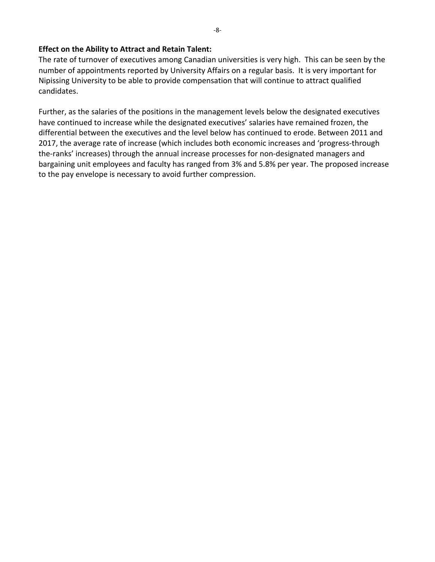### **Effect on the Ability to Attract and Retain Talent:**

The rate of turnover of executives among Canadian universities is very high. This can be seen by the number of appointments reported by University Affairs on a regular basis. It is very important for Nipissing University to be able to provide compensation that will continue to attract qualified candidates. 

Further, as the salaries of the positions in the management levels below the designated executives have continued to increase while the designated executives' salaries have remained frozen, the differential between the executives and the level below has continued to erode. Between 2011 and 2017, the average rate of increase (which includes both economic increases and 'progress-through the-ranks' increases) through the annual increase processes for non-designated managers and bargaining unit employees and faculty has ranged from 3% and 5.8% per year. The proposed increase to the pay envelope is necessary to avoid further compression.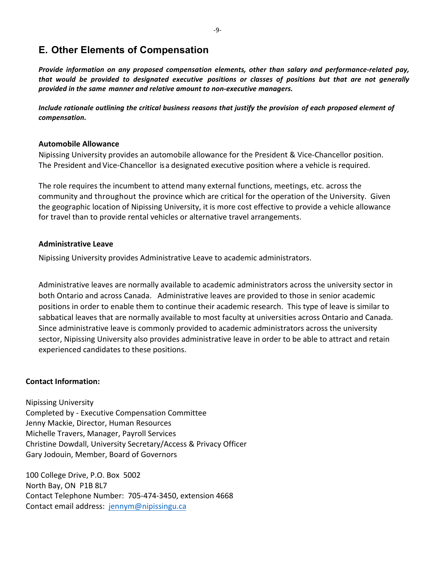# **E. Other Elements of Compensation**

*Provide information on any proposed compensation elements, other than salary and performance-related pay, that would be provided to designated executive positions or classes of positions but that are not generally provided in the same manner and relative amount to non-executive managers.*

*Include rationale outlining the critical business reasons that justify the provision of each proposed element of compensation.*

#### **Automobile Allowance**

Nipissing University provides an automobile allowance for the President & Vice-Chancellor position. The President and Vice-Chancellor is a designated executive position where a vehicle is required.

The role requires the incumbent to attend many external functions, meetings, etc. across the community and throughout the province which are critical for the operation of the University. Given the geographic location of Nipissing University, it is more cost effective to provide a vehicle allowance for travel than to provide rental vehicles or alternative travel arrangements.

#### **Administrative Leave**

Nipissing University provides Administrative Leave to academic administrators.

Administrative leaves are normally available to academic administrators across the university sector in both Ontario and across Canada. Administrative leaves are provided to those in senior academic positions in order to enable them to continue their academic research. This type of leave is similar to sabbatical leaves that are normally available to most faculty at universities across Ontario and Canada. Since administrative leave is commonly provided to academic administrators across the university sector, Nipissing University also provides administrative leave in order to be able to attract and retain experienced candidates to these positions.

### **Contact Information:**

Nipissing University Completed by - Executive Compensation Committee Jenny Mackie, Director, Human Resources Michelle Travers, Manager, Payroll Services Christine Dowdall, University Secretary/Access & Privacy Officer Gary Jodouin, Member, Board of Governors

100 College Drive, P.O. Box 5002 North Bay, ON P1B 8L7 Contact Telephone Number: 705-474-3450, extension 4668 Contact email address: jennym@nipissingu.ca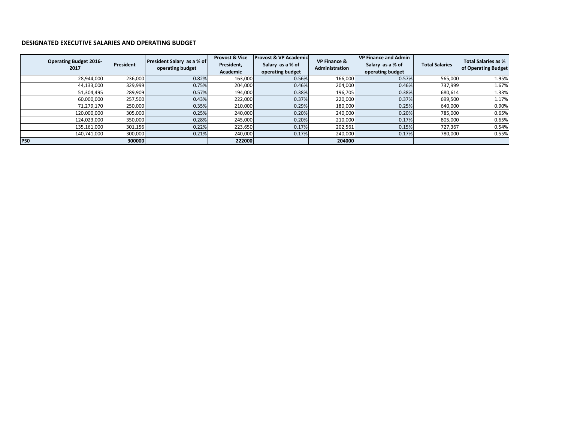#### **DESIGNATED EXECUTIVE SALARIES AND OPERATING BUDGET**

|            | <b>Operating Budget 2016-</b><br>2017 | President | President Salary as a % of<br>operating budget | <b>Provost &amp; Vice</b><br>President,<br>Academic | <b>Provost &amp; VP Academic</b><br>Salary as a % of<br>operating budget | <b>VP Finance &amp;</b><br><b>Administration</b> | <b>VP Finance and Admin</b><br>Salary as a % of<br>operating budget | <b>Total Salaries</b> | Total Salaries as %<br>of Operating Budget |
|------------|---------------------------------------|-----------|------------------------------------------------|-----------------------------------------------------|--------------------------------------------------------------------------|--------------------------------------------------|---------------------------------------------------------------------|-----------------------|--------------------------------------------|
|            | 28,944,000                            | 236,000   | 0.82%                                          | 163,000                                             | 0.56%                                                                    | 166,000                                          | 0.57%                                                               | 565,000               | 1.95%                                      |
|            | 44,133,000                            | 329,999   | 0.75%                                          | 204,000                                             | 0.46%                                                                    | 204,000                                          | 0.46%                                                               | 737,999               | 1.67%                                      |
|            | 51,304,495                            | 289,909   | 0.57%                                          | 194,000                                             | 0.38%                                                                    | 196,705                                          | 0.38%                                                               | 680,614               | 1.33%                                      |
|            | 60,000,000                            | 257,500   | 0.43%                                          | 222,000                                             | 0.37%                                                                    | 220,000                                          | 0.37%                                                               | 699,500               | 1.17%                                      |
|            | 71,279,170                            | 250,000   | 0.35%                                          | 210,000                                             | 0.29%                                                                    | 180,000                                          | 0.25%                                                               | 640,000               | 0.90%                                      |
|            | 120,000,000                           | 305,000   | 0.25%                                          | 240,000                                             | 0.20%                                                                    | 240,000                                          | 0.20%                                                               | 785,000               | 0.65%                                      |
|            | 124,023,000                           | 350,000   | 0.28%                                          | 245,000                                             | 0.20%                                                                    | 210,000                                          | 0.17%                                                               | 805,000               | 0.65%                                      |
|            | 135,161,000                           | 301,156   | 0.22%                                          | 223,650                                             | 0.17%                                                                    | 202,561                                          | 0.15%                                                               | 727,367               | 0.54%                                      |
|            | 140,741,000                           | 300,000   | 0.21%                                          | 240,000                                             | 0.17%                                                                    | 240,000                                          | 0.17%                                                               | 780,000               | 0.55%                                      |
| <b>P50</b> |                                       | 300000    |                                                | 222000                                              |                                                                          | 204000                                           |                                                                     |                       |                                            |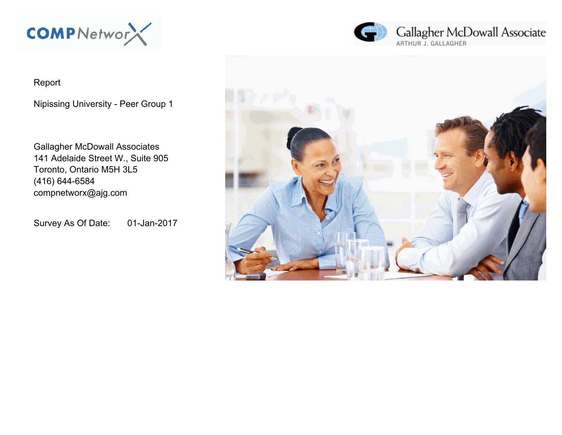

# Report

Nipissing University - Peer Group 1

Gallagher McDowall Associates 141 Adelaide Street W., Suite 905 Toronto, Ontario M5H 3L5 (416) 644-6584 compnetworx@ajg.com

Survey As Of Date: 01-Jan-2017



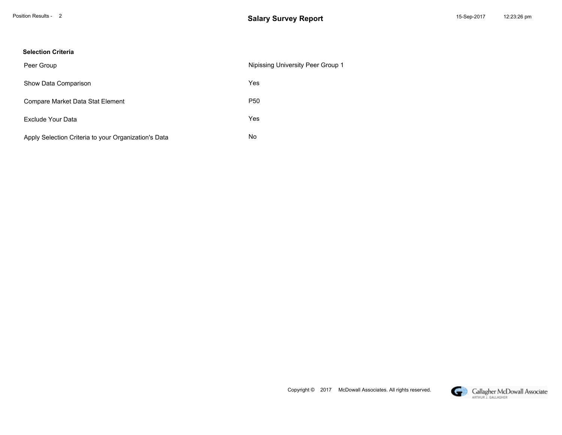#### **Selection Criteria**

| Peer Group                                           | Nipissing University Peer Group 1 |
|------------------------------------------------------|-----------------------------------|
| Show Data Comparison                                 | Yes                               |
| Compare Market Data Stat Element                     | P <sub>50</sub>                   |
| Exclude Your Data                                    | Yes                               |
| Apply Selection Criteria to your Organization's Data | No                                |

Copyright © 2017 McDowall Associates. All rights reserved.

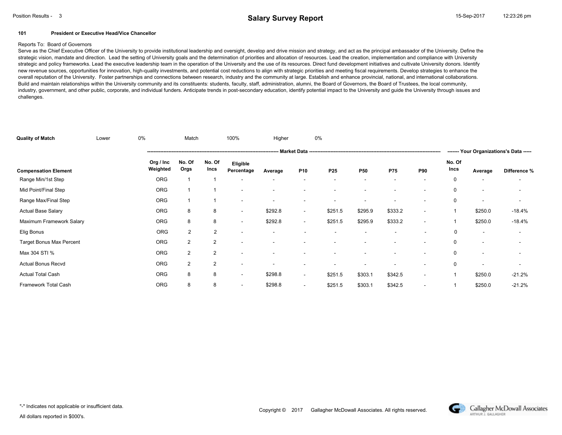#### **101 President or Executive Head/Vice Chancellor**

#### Reports To: Board of Governors

Serve as the Chief Executive Officer of the University to provide institutional leadership and oversight, develop and drive mission and strategy, and act as the principal ambassador of the University. Define the strategic vision, mandate and direction. Lead the setting of University goals and the determination of priorities and allocation of resources. Lead the creation, implementation and compliance with University strategic and policy frameworks. Lead the executive leadership team in the operation of the University and the use of its resources. Direct fund development initiatives and cultivate University donors. Identify new revenue sources, opportunities for innovation, high-quality investments, and potential cost reductions to align with strategic priorities and meeting fiscal requirements. Develop strategies to enhance the overall reputation of the University. Foster partnerships and connections between research, industry and the community at large. Establish and enhance provincial, national, and international collaborations. Build and maintain relationships within the University community and its constituents: students, faculty, staff, administration, alumni, the Board of Governors, the Board of Trustees, the local community, industry, government, and other public, corporate, and individual funders. Anticipate trends in post-secondary education, identify potential impact to the University and guide the University through issues and challenges.

| <b>Quality of Match</b>     | Lower | 0%                    | Match          |                | 100%                     | Higher  |                          | 0%      |                          |            |                          |                |                          |                                         |
|-----------------------------|-------|-----------------------|----------------|----------------|--------------------------|---------|--------------------------|---------|--------------------------|------------|--------------------------|----------------|--------------------------|-----------------------------------------|
|                             |       |                       |                |                |                          |         |                          |         |                          |            |                          |                |                          | ------- Your Organizations's Data ----- |
| <b>Compensation Element</b> |       | Org / Inc<br>Weighted | No. Of<br>Orgs | No. Of<br>Incs | Eligible<br>Percentage   | Average | P <sub>10</sub>          | P25     | <b>P50</b>               | <b>P75</b> | <b>P90</b>               | No. Of<br>Incs | Average                  | Difference %                            |
| Range Min/1st Step          |       | <b>ORG</b>            |                |                | ۰                        |         | $\overline{\phantom{a}}$ |         | ۰                        |            |                          | 0              | ٠                        | $\overline{\phantom{a}}$                |
| Mid Point/Final Step        |       | <b>ORG</b>            |                |                | $\overline{\phantom{a}}$ |         |                          |         | ۰                        |            |                          | $\mathbf 0$    |                          |                                         |
| Range Max/Final Step        |       | <b>ORG</b>            |                |                | $\overline{\phantom{a}}$ |         | $\overline{\phantom{a}}$ |         |                          |            |                          | $\mathbf 0$    |                          |                                         |
| <b>Actual Base Salary</b>   |       | <b>ORG</b>            | 8              | 8              | $\overline{\phantom{a}}$ | \$292.8 | $\overline{\phantom{a}}$ | \$251.5 | \$295.9                  | \$333.2    |                          |                | \$250.0                  | $-18.4%$                                |
| Maximum Framework Salary    |       | <b>ORG</b>            | 8              | 8              | $\overline{\phantom{a}}$ | \$292.8 | $\overline{\phantom{a}}$ | \$251.5 | \$295.9                  | \$333.2    | $\overline{\phantom{a}}$ |                | \$250.0                  | $-18.4%$                                |
| Elig Bonus                  |       | <b>ORG</b>            | $\overline{2}$ | 2              | $\overline{\phantom{a}}$ |         |                          |         | $\overline{\phantom{a}}$ |            |                          | 0              | $\overline{\phantom{a}}$ |                                         |
| Target Bonus Max Percent    |       | <b>ORG</b>            | $\overline{2}$ | $\overline{2}$ |                          |         |                          |         |                          |            |                          | 0              |                          |                                         |
| Max 304 STI %               |       | <b>ORG</b>            | $\overline{2}$ | $\overline{2}$ |                          |         |                          |         |                          |            |                          | $\mathbf 0$    |                          |                                         |
| <b>Actual Bonus Recvd</b>   |       | <b>ORG</b>            | $\overline{2}$ | $\overline{2}$ | $\overline{\phantom{a}}$ | ۰       | $\overline{\phantom{a}}$ |         | ۰                        |            |                          | $\mathbf 0$    |                          |                                         |
| <b>Actual Total Cash</b>    |       | <b>ORG</b>            | 8              | 8              | $\overline{\phantom{a}}$ | \$298.8 | $\overline{\phantom{a}}$ | \$251.5 | \$303.1                  | \$342.5    |                          |                | \$250.0                  | $-21.2%$                                |
| Framework Total Cash        |       | <b>ORG</b>            | 8              | 8              | $\overline{\phantom{a}}$ | \$298.8 | $\overline{\phantom{a}}$ | \$251.5 | \$303.1                  | \$342.5    | ۰.                       |                | \$250.0                  | $-21.2%$                                |

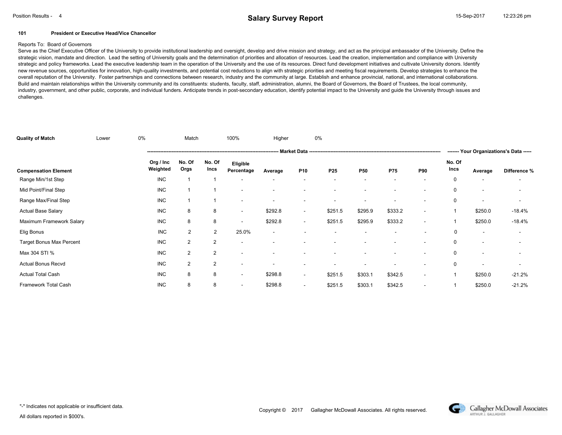#### **101 President or Executive Head/Vice Chancellor**

#### Reports To: Board of Governors

Serve as the Chief Executive Officer of the University to provide institutional leadership and oversight, develop and drive mission and strategy, and act as the principal ambassador of the University. Define the strategic vision, mandate and direction. Lead the setting of University goals and the determination of priorities and allocation of resources. Lead the creation, implementation and compliance with University strategic and policy frameworks. Lead the executive leadership team in the operation of the University and the use of its resources. Direct fund development initiatives and cultivate University donors. Identify new revenue sources, opportunities for innovation, high-quality investments, and potential cost reductions to align with strategic priorities and meeting fiscal requirements. Develop strategies to enhance the overall reputation of the University. Foster partnerships and connections between research, industry and the community at large. Establish and enhance provincial, national, and international collaborations. Build and maintain relationships within the University community and its constituents: students, faculty, staff, administration, alumni, the Board of Governors, the Board of Trustees, the local community, industry, government, and other public, corporate, and individual funders. Anticipate trends in post-secondary education, identify potential impact to the University and guide the University through issues and challenges.

| <b>Quality of Match</b>         | Lower | 0%                    | Match          |                | 100%                     | Higher  |                          | 0%      |            |            |                          |                |                          |                                         |
|---------------------------------|-------|-----------------------|----------------|----------------|--------------------------|---------|--------------------------|---------|------------|------------|--------------------------|----------------|--------------------------|-----------------------------------------|
|                                 |       | --- Market Data       |                |                |                          |         |                          |         |            |            |                          |                |                          | ------- Your Organizations's Data ----- |
| <b>Compensation Element</b>     |       | Org / Inc<br>Weighted | No. Of<br>Orgs | No. Of<br>Incs | Eligible<br>Percentage   | Average | P <sub>10</sub>          | P25     | <b>P50</b> | <b>P75</b> | <b>P90</b>               | No. Of<br>Incs | Average                  | Difference %                            |
| Range Min/1st Step              |       | <b>INC</b>            |                |                |                          |         |                          |         |            |            |                          | 0              |                          |                                         |
| Mid Point/Final Step            |       | <b>INC</b>            |                |                |                          |         | ٠                        |         | ۰          |            |                          | $\mathbf 0$    | ٠                        | $\overline{\phantom{a}}$                |
| Range Max/Final Step            |       | <b>INC</b>            |                |                | $\overline{\phantom{a}}$ |         | ٠                        |         | ۰          |            |                          | $\mathbf 0$    |                          | $\overline{\phantom{a}}$                |
| <b>Actual Base Salary</b>       |       | <b>INC</b>            | 8              | 8              | $\overline{\phantom{a}}$ | \$292.8 | $\overline{\phantom{a}}$ | \$251.5 | \$295.9    | \$333.2    | ۰.                       |                | \$250.0                  | $-18.4%$                                |
| Maximum Framework Salary        |       | <b>INC</b>            | 8              | 8              | $\overline{\phantom{a}}$ | \$292.8 | $\overline{\phantom{a}}$ | \$251.5 | \$295.9    | \$333.2    | $\overline{\phantom{a}}$ |                | \$250.0                  | $-18.4%$                                |
| Elig Bonus                      |       | <b>INC</b>            | $\overline{2}$ | $\overline{2}$ | 25.0%                    | ۰       |                          | ٠       | ٠          |            |                          | 0              | $\overline{\phantom{a}}$ |                                         |
| <b>Target Bonus Max Percent</b> |       | <b>INC</b>            | 2              | 2              | $\overline{\phantom{a}}$ |         |                          |         |            |            |                          | 0              |                          |                                         |
| Max 304 STI %                   |       | <b>INC</b>            | $\overline{2}$ | $\overline{2}$ | $\overline{\phantom{a}}$ |         |                          |         | ۰          |            |                          | $\mathbf 0$    |                          |                                         |
| <b>Actual Bonus Recvd</b>       |       | <b>INC</b>            | 2              | $\overline{2}$ | $\overline{\phantom{a}}$ |         | ٠                        |         | ۰          |            | <b>.</b>                 | $\mathbf 0$    |                          | $\overline{\phantom{a}}$                |
| <b>Actual Total Cash</b>        |       | <b>INC</b>            | 8              | 8              | $\overline{\phantom{a}}$ | \$298.8 | $\overline{\phantom{a}}$ | \$251.5 | \$303.1    | \$342.5    | $\overline{\phantom{a}}$ |                | \$250.0                  | $-21.2%$                                |
| Framework Total Cash            |       | <b>INC</b>            | 8              | 8              | $\overline{\phantom{a}}$ | \$298.8 | ٠                        | \$251.5 | \$303.1    | \$342.5    |                          |                | \$250.0                  | $-21.2%$                                |

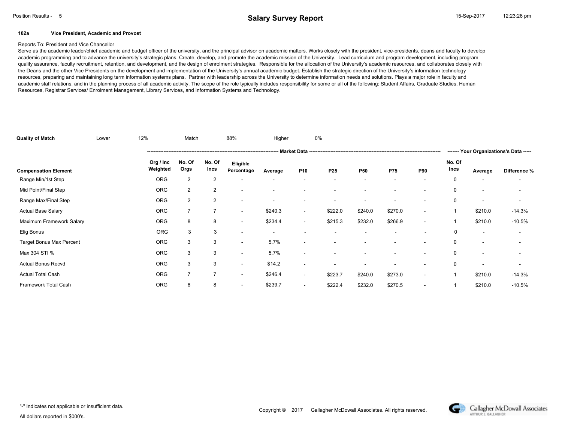#### **102a Vice President, Academic and Provost**

#### Reports To: President and Vice Chancellor

Serve as the academic leader/chief academic and budget officer of the university, and the principal advisor on academic matters. Works closely with the president, vice-presidents, deans and faculty to develop academic programming and to advance the university's strategic plans. Create, develop, and promote the academic mission of the University. Lead curriculum and program development, including program quality assurance, faculty recruitment, retention, and development, and the design of enrolment strategies. Responsible for the allocation of the University's academic resources, and collaborates closely with the Deans and the other Vice Presidents on the development and implementation of the University's annual academic budget. Establish the strategic direction of the University's information technology resources, preparing and maintaining long term information systems plans. Partner with leadership across the University to determine information needs and solutions. Plays a major role in faculty and academic staff relations, and in the planning process of all academic activity. The scope of the role typically includes responsibility for some or all of the following: Student Affairs, Graduate Studies, Human Resources, Registrar Services/ Enrolment Management, Library Services, and Information Systems and Technology.

| <b>Quality of Match</b>     | Lower | 12%                   | Match          |                | 88%                      | Higher  |                          | 0%                       |                          |            |                          |                |                          |                                         |
|-----------------------------|-------|-----------------------|----------------|----------------|--------------------------|---------|--------------------------|--------------------------|--------------------------|------------|--------------------------|----------------|--------------------------|-----------------------------------------|
|                             |       |                       |                |                |                          |         |                          |                          |                          |            |                          |                |                          | ------- Your Organizations's Data ----- |
| <b>Compensation Element</b> |       | Org / Inc<br>Weighted | No. Of<br>Orgs | No. Of<br>Incs | Eligible<br>Percentage   | Average | P <sub>10</sub>          | P <sub>25</sub>          | P50                      | <b>P75</b> | P90                      | No. Of<br>Incs | Average                  | Difference %                            |
| Range Min/1st Step          |       | <b>ORG</b>            | 2              | $\overline{2}$ |                          |         |                          |                          |                          |            |                          | 0              |                          |                                         |
| Mid Point/Final Step        |       | <b>ORG</b>            | $\overline{2}$ | $\overline{2}$ | $\overline{\phantom{a}}$ |         |                          |                          |                          |            |                          | 0              | $\overline{\phantom{a}}$ |                                         |
| Range Max/Final Step        |       | ORG                   | $\overline{2}$ | $\overline{2}$ |                          |         |                          |                          |                          |            |                          | 0              | $\overline{\phantom{a}}$ |                                         |
| <b>Actual Base Salary</b>   |       | <b>ORG</b>            | $\overline{7}$ | $\overline{7}$ | $\overline{\phantom{a}}$ | \$240.3 | $\overline{\phantom{a}}$ | \$222.0                  | \$240.0                  | \$270.0    | $\overline{\phantom{a}}$ |                | \$210.0                  | $-14.3%$                                |
| Maximum Framework Salary    |       | <b>ORG</b>            | 8              | 8              | $\overline{\phantom{a}}$ | \$234.4 | $\sim$                   | \$215.3                  | \$232.0                  | \$266.9    | $\overline{\phantom{a}}$ |                | \$210.0                  | $-10.5%$                                |
| Elig Bonus                  |       | <b>ORG</b>            | 3              | 3              | ٠                        |         | $\overline{\phantom{a}}$ | $\overline{\phantom{a}}$ | $\overline{\phantom{a}}$ |            | ٠                        | 0              | $\overline{\phantom{a}}$ |                                         |
| Target Bonus Max Percent    |       | <b>ORG</b>            | 3              | 3              | ۰                        | 5.7%    |                          |                          |                          |            |                          | 0              |                          |                                         |
| Max 304 STI %               |       | ORG                   | 3              | 3              | ۰                        | 5.7%    |                          |                          |                          |            |                          | 0              |                          |                                         |
| <b>Actual Bonus Recvd</b>   |       | <b>ORG</b>            | 3              | 3              | $\overline{\phantom{a}}$ | \$14.2  | $\overline{\phantom{a}}$ |                          |                          |            |                          | 0              |                          |                                         |
| <b>Actual Total Cash</b>    |       | ORG                   | $\overline{7}$ | $\overline{7}$ | $\overline{\phantom{a}}$ | \$246.4 | $\overline{\phantom{a}}$ | \$223.7                  | \$240.0                  | \$273.0    |                          |                | \$210.0                  | $-14.3%$                                |
| Framework Total Cash        |       | <b>ORG</b>            | 8              | 8              | $\overline{\phantom{a}}$ | \$239.7 | $\overline{\phantom{a}}$ | \$222.4                  | \$232.0                  | \$270.5    | ۰.                       |                | \$210.0                  | $-10.5%$                                |

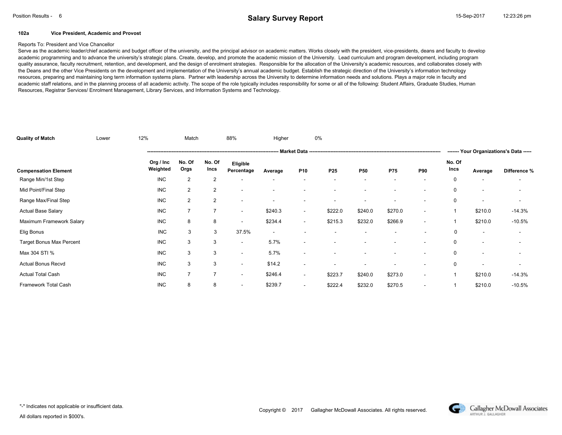#### **102a Vice President, Academic and Provost**

#### Reports To: President and Vice Chancellor

Serve as the academic leader/chief academic and budget officer of the university, and the principal advisor on academic matters. Works closely with the president, vice-presidents, deans and faculty to develop academic programming and to advance the university's strategic plans. Create, develop, and promote the academic mission of the University. Lead curriculum and program development, including program quality assurance, faculty recruitment, retention, and development, and the design of enrolment strategies. Responsible for the allocation of the University's academic resources, and collaborates closely with the Deans and the other Vice Presidents on the development and implementation of the University's annual academic budget. Establish the strategic direction of the University's information technology resources, preparing and maintaining long term information systems plans. Partner with leadership across the University to determine information needs and solutions. Plays a major role in faculty and academic staff relations, and in the planning process of all academic activity. The scope of the role typically includes responsibility for some or all of the following: Student Affairs, Graduate Studies, Human Resources, Registrar Services/ Enrolment Management, Library Services, and Information Systems and Technology.

| <b>Quality of Match</b>         | Lower | 12%                   | Match          |                | 88%                      | Higher                   |                          | 0%                       |                          |            |                          |                |                          |                          |
|---------------------------------|-------|-----------------------|----------------|----------------|--------------------------|--------------------------|--------------------------|--------------------------|--------------------------|------------|--------------------------|----------------|--------------------------|--------------------------|
|                                 |       |                       |                |                |                          |                          |                          |                          |                          |            |                          |                |                          |                          |
| <b>Compensation Element</b>     |       | Org / Inc<br>Weighted | No. Of<br>Orgs | No. Of<br>Incs | Eligible<br>Percentage   | Average                  | P <sub>10</sub>          | P <sub>25</sub>          | <b>P50</b>               | <b>P75</b> | <b>P90</b>               | No. Of<br>Incs | Average                  | Difference %             |
| Range Min/1st Step              |       | <b>INC</b>            | 2              | $\overline{2}$ |                          |                          |                          |                          |                          |            |                          | 0              |                          |                          |
| Mid Point/Final Step            |       | <b>INC</b>            | $\overline{2}$ | 2              | $\overline{\phantom{a}}$ |                          |                          |                          | ۰                        |            |                          | $\mathbf 0$    |                          | $\overline{\phantom{a}}$ |
| Range Max/Final Step            |       | <b>INC</b>            | $\overline{2}$ | $\overline{2}$ | ٠                        |                          | $\overline{\phantom{a}}$ |                          |                          |            |                          | $\mathbf 0$    |                          |                          |
| <b>Actual Base Salary</b>       |       | <b>INC</b>            | $\overline{7}$ | $\overline{7}$ | $\overline{\phantom{a}}$ | \$240.3                  | $\overline{\phantom{a}}$ | \$222.0                  | \$240.0                  | \$270.0    | $\overline{\phantom{a}}$ |                | \$210.0                  | $-14.3%$                 |
| Maximum Framework Salary        |       | <b>INC</b>            | 8              | 8              | $\overline{\phantom{a}}$ | \$234.4                  | $\overline{\phantom{a}}$ | \$215.3                  | \$232.0                  | \$266.9    | $\overline{\phantom{a}}$ |                | \$210.0                  | $-10.5%$                 |
| Elig Bonus                      |       | <b>INC</b>            | 3              | 3              | 37.5%                    | $\overline{\phantom{a}}$ | $\overline{\phantom{a}}$ | $\overline{\phantom{a}}$ | $\overline{\phantom{a}}$ |            |                          | 0              | $\overline{\phantom{a}}$ | $\overline{\phantom{a}}$ |
| <b>Target Bonus Max Percent</b> |       | <b>INC</b>            | 3              | 3              | ۰                        | 5.7%                     |                          |                          |                          |            |                          | $\mathbf 0$    |                          |                          |
| Max 304 STI %                   |       | <b>INC</b>            | 3              | 3              | ۰                        | 5.7%                     | $\overline{\phantom{a}}$ |                          | ٠                        |            |                          | $\mathbf 0$    |                          |                          |
| <b>Actual Bonus Recvd</b>       |       | <b>INC</b>            | 3              | 3              | ٠                        | \$14.2                   | $\overline{\phantom{a}}$ |                          |                          |            |                          | $\mathbf 0$    |                          | $\overline{\phantom{a}}$ |
| <b>Actual Total Cash</b>        |       | <b>INC</b>            | 7              | $\overline{7}$ | ۰                        | \$246.4                  | $\overline{\phantom{a}}$ | \$223.7                  | \$240.0                  | \$273.0    | $\overline{\phantom{a}}$ |                | \$210.0                  | $-14.3%$                 |
| Framework Total Cash            |       | <b>INC</b>            | 8              | 8              | $\sim$                   | \$239.7                  | $\overline{\phantom{a}}$ | \$222.4                  | \$232.0                  | \$270.5    | $\overline{\phantom{a}}$ |                | \$210.0                  | $-10.5%$                 |

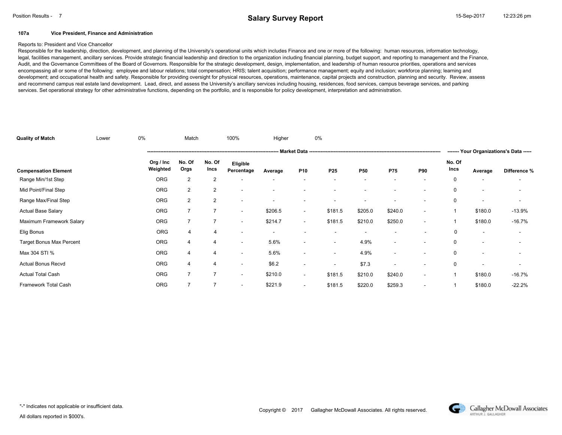#### **107a Vice President, Finance and Administration**

#### Reports to: President and Vice Chancellor

Responsible for the leadership, direction, development, and planning of the University's operational units which includes Finance and one or more of the following: human resources, information technology, legal, facilities management, ancillary services. Provide strategic financial leadership and direction to the organization including financial planning, budget support, and reporting to management and the Finance, Audit, and the Governance Committees of the Board of Governors. Responsible for the strategic development, design, implementation, and leadership of human resource priorities, operations and services encompassing all or some of the following: employee and labour relations; total compensation; HRIS; talent acquisition; performance management; equity and inclusion; workforce planning; learning and development; and occupational health and safety. Responsible for providing oversight for physical resources, operations, maintenance, capital projects and construction, planning and security. Review, assess and recommend campus real estate land development. Lead, direct, and assess the University's ancillary services including housing, residences, food services, campus beverage services, and parking services. Set operational strategy for other administrative functions, depending on the portfolio, and is responsible for policy development, interpretation and administration.

| <b>Quality of Match</b>         | Lower | 0%                    | Match          |                | 100%                     | Higher  |                          | 0%                       |                          |                          |                          |                |                          |                                         |
|---------------------------------|-------|-----------------------|----------------|----------------|--------------------------|---------|--------------------------|--------------------------|--------------------------|--------------------------|--------------------------|----------------|--------------------------|-----------------------------------------|
|                                 |       |                       |                |                |                          |         |                          |                          |                          |                          |                          |                |                          | ------- Your Organizations's Data ----- |
| <b>Compensation Element</b>     |       | Org / Inc<br>Weighted | No. Of<br>Orgs | No. Of<br>Incs | Eligible<br>Percentage   | Average | P <sub>10</sub>          | P <sub>25</sub>          | <b>P50</b>               | <b>P75</b>               | <b>P90</b>               | No. Of<br>Incs | Average                  | Difference %                            |
| Range Min/1st Step              |       | <b>ORG</b>            | 2              | 2              |                          |         |                          |                          |                          |                          |                          | 0              |                          |                                         |
| Mid Point/Final Step            |       | <b>ORG</b>            | $\overline{2}$ | 2              | $\overline{\phantom{a}}$ |         |                          |                          | ۰                        |                          |                          | $\mathbf 0$    |                          | $\overline{\phantom{a}}$                |
| Range Max/Final Step            |       | <b>ORG</b>            | $\overline{2}$ | $\overline{2}$ | ٠                        |         | $\overline{\phantom{a}}$ |                          |                          |                          |                          | $\mathbf 0$    |                          |                                         |
| <b>Actual Base Salary</b>       |       | <b>ORG</b>            | $\overline{7}$ | $\overline{7}$ | $\overline{\phantom{a}}$ | \$206.5 | $\overline{\phantom{a}}$ | \$181.5                  | \$205.0                  | \$240.0                  | $\overline{\phantom{a}}$ |                | \$180.0                  | $-13.9%$                                |
| Maximum Framework Salary        |       | <b>ORG</b>            | $\overline{7}$ | $\overline{7}$ | $\overline{\phantom{a}}$ | \$214.7 | $\sim$                   | \$181.5                  | \$210.0                  | \$250.0                  | $\overline{\phantom{a}}$ |                | \$180.0                  | $-16.7%$                                |
| Elig Bonus                      |       | <b>ORG</b>            | $\overline{4}$ | 4              | ۰                        |         | $\overline{\phantom{a}}$ | $\overline{\phantom{a}}$ | $\overline{\phantom{a}}$ |                          | ۰                        | 0              | $\overline{\phantom{a}}$ |                                         |
| <b>Target Bonus Max Percent</b> |       | <b>ORG</b>            | 4              | $\overline{4}$ | ۰                        | 5.6%    | $\overline{\phantom{a}}$ | $\overline{\phantom{a}}$ | 4.9%                     |                          |                          | $\mathbf 0$    |                          |                                         |
| Max 304 STI %                   |       | <b>ORG</b>            | 4              | $\overline{4}$ | ۰                        | 5.6%    | $\overline{\phantom{a}}$ | $\sim$                   | 4.9%                     | $\overline{\phantom{a}}$ |                          | $\mathbf 0$    |                          |                                         |
| <b>Actual Bonus Recvd</b>       |       | <b>ORG</b>            | 4              | 4              | $\overline{\phantom{a}}$ | \$6.2   | $\overline{\phantom{a}}$ | $\overline{\phantom{a}}$ | \$7.3                    | $\overline{\phantom{a}}$ |                          | $\mathbf 0$    |                          | $\overline{\phantom{a}}$                |
| <b>Actual Total Cash</b>        |       | <b>ORG</b>            | 7              | $\overline{7}$ | ۰                        | \$210.0 | $\overline{\phantom{a}}$ | \$181.5                  | \$210.0                  | \$240.0                  | $\overline{\phantom{a}}$ |                | \$180.0                  | $-16.7%$                                |
| Framework Total Cash            |       | <b>ORG</b>            | $\overline{7}$ | $\overline{7}$ | $\sim$                   | \$221.9 | $\overline{\phantom{a}}$ | \$181.5                  | \$220.0                  | \$259.3                  | $\overline{\phantom{a}}$ |                | \$180.0                  | $-22.2%$                                |